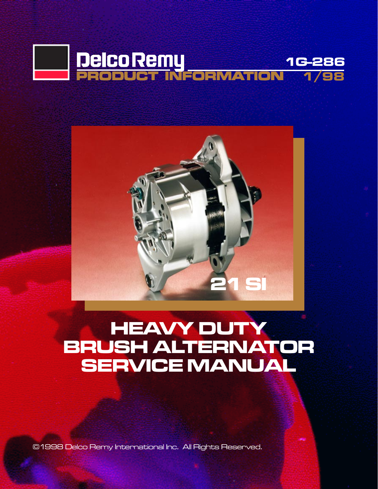



# **HEAVY DUTY** BRUSH ALTERNATOR SERVICE MANUAL

©1998 Delco Remy International Inc. All Rights Reserved.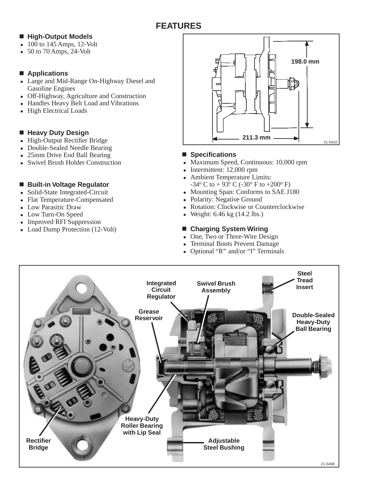#### **PAGE** *1G-286 4/96* **21-SI HEAVY DUTY BRUSH ALTERNATOR FEATURES**

### ■ High-Output Models

- $\bullet$  100 to 145 Amps, 12-Volt
- $\bullet$  50 to 70 Amps, 24-Volt

### ■ Applications

- Large and Mid-Range On-Highway Diesel and Gasoline Engines
- Off-Highway, Agriculture and Construction
- Handles Heavy Belt Load and Vibrations
- High Electrical Loads

### ■ Heavy Duty Design

- High-Output Rectifier Bridge
- Double-Sealed Needle Bearing
- 25mm Drive End Ball Bearing
- Swivel Brush Holder Construction

### ■ Built-in Voltage Regulator

- Solid-State Integrated-Circuit
- Flat Temperature-Compensated
- Low Parasitic Draw
- Low Turn-On Speed
- $\bullet$  Improved RFI Suppression
- Load Dump Protection (12-Volt)



### ■ Specifications

- Maximum Speed, Continuous: 10,000 rpm
- $\bullet$  Intermittent: 12,000 rpm
- Ambient Temperature Limits:
- $-34^{\circ}$  C to  $+93^{\circ}$  C  $(-30^{\circ}$  F to  $+200^{\circ}$  F)
- Mounting Span: Conforms to SAE J180
- Polarity: Negative Ground
- Rotation: Clockwise or Counterclockwise
- Weight:  $6.46 \text{ kg} (14.2 \text{ lbs.})$

## ■ Charging System Wiring

- One, Two or Three-Wire Design
- Terminal Boots Prevent Damage
- Optional "R" and/or "I" Terminals

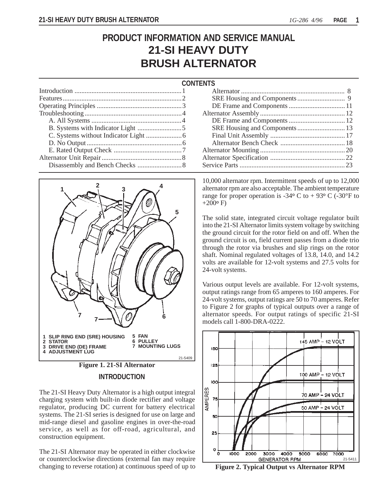# **PRODUCT INFORMATION AND SERVICE MANUAL 21-SI HEAVY DUTY BRUSH ALTERNATOR**

### **CONTENTS**



**INTRODUCTION**

The 21-SI Heavy Duty Alternator is a high output integral charging system with built-in diode rectifier and voltage regulator, producing DC current for battery electrical systems. The 21-SI series is designed for use on large and mid-range diesel and gasoline engines in over-the-road service, as well as for off-road, agricultural, and construction equipment.

The 21-SI Alternator may be operated in either clockwise or counterclockwise directions (external fan may require changing to reverse rotation) at continuous speed of up to

10,000 alternator rpm. Intermittent speeds of up to 12,000 alternator rpm are also acceptable. The ambient temperature range for proper operation is  $-34$ <sup>o</sup> C to  $+93$ <sup>o</sup> C  $(-30$ <sup>o</sup>F to  $+200$ <sup>o</sup> F)

The solid state, integrated circuit voltage regulator built into the 21-SI Alternator limits system voltage by switching the ground circuit for the rotor field on and off. When the ground circuit is on, field current passes from a diode trio through the rotor via brushes and slip rings on the rotor shaft. Nominal regulated voltages of 13.8, 14.0, and 14.2 volts are available for 12-volt systems and 27.5 volts for 24-volt systems.

Various output levels are available. For 12-volt systems, output ratings range from 65 amperes to 160 amperes. For 24-volt systems, output ratings are 50 to 70 amperes. Refer to Figure 2 for graphs of typical outputs over a range of alternator speeds. For output ratings of specific 21-SI models call 1-800-DRA-0222.

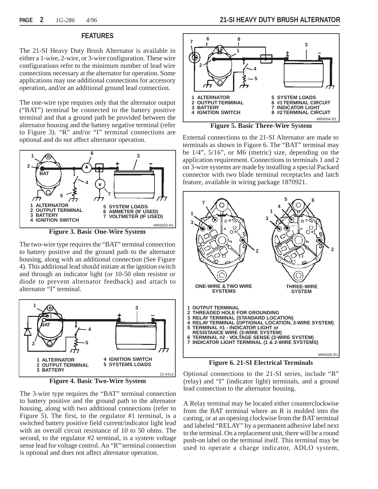#### **FEATURES**

The 21-SI Heavy Duty Brush Alternator is available in either a 1-wire, 2-wire, or 3-wire configuration. These wire configurations refer to the minimum number of lead wire connections necessary at the alternator for operation. Some applications may use additional connections for accessory operation, and/or an additional ground lead connection.

The one-wire type requires only that the alternator output ("BAT") terminal be connected to the battery positive terminal and that a ground path be provided between the alternator housing and the battery negative terminal (refer to Figure 3). "R" and/or "I" terminal connections are optional and do not affect alternator operation.



**Figure 3. Basic One-Wire System**

The two-wire type requires the "BAT" terminal connection to battery positive and the ground path to the alternator housing, along with an additional connection (See Figure 4). This additional lead should initiate at the ignition switch and through an indicator light (or 10-50 ohm resistor or diode to prevent alternator feedback) and attach to alternator "I" terminal.



**Figure 4. Basic Two-Wire System**

The 3-wire type requires the "BAT" terminal connection to battery positive and the ground path to the alternator housing, along with two additional connections (refer to Figure 5). The first, to the regulator #1 terminal, is a switched battery positive field current/indicator light lead with an overall circuit resistance of 10 to 50 ohms. The second, to the regulator #2 terminal, is a system voltage sense lead for voltage control. An "R" terminal connection is optional and does not affect alternator operation.



**Figure 5. Basic Three-Wire System**

External connections to the 21-SI Alternator are made to terminals as shown in Figure 6. The "BAT" terminal may be 1/4", 5/16", or M6 (metric) size, depending on the application requirement. Connections to terminals 1 and 2 on 3-wire systems are made by installing a special Packard connector with two blade terminal receptacles and latch feature, available in wiring package 1870921.



**Figure 6. 21-SI Electrical Terminals**

Optional connections to the 21-SI series, include "R" (relay) and "I" (indicator light) terminals, and a ground lead connection to the alternator housing.

A Relay terminal may be located either counterclockwise from the BAT terminal where an R is molded into the casting, or at an opening clockwise from the BAT terminal and labeled "RELAY" by a permanent adhesive label next to the terminal. On a replacement unit, there will be a round push-on label on the terminal itself. This terminal may be used to operate a charge indicator, ADLO system,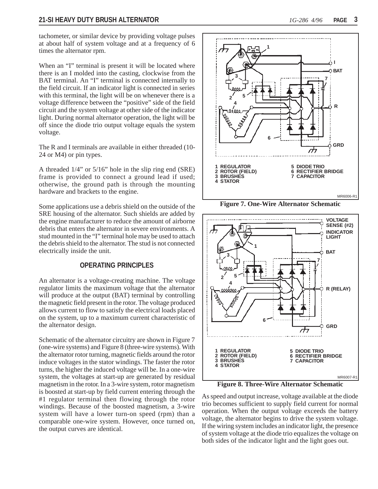tachometer, or similar device by providing voltage pulses at about half of system voltage and at a frequency of 6 times the alternator rpm.

When an "I" terminal is present it will be located where there is an I molded into the casting, clockwise from the BAT terminal. An "I" terminal is connected internally to the field circuit. If an indicator light is connected in series with this terminal, the light will be on whenever there is a voltage difference between the "positive" side of the field circuit and the system voltage at other side of the indicator light. During normal alternator operation, the light will be off since the diode trio output voltage equals the system voltage.

The R and I terminals are available in either threaded (10- 24 or M4) or pin types.

A threaded 1/4" or 5/16" hole in the slip ring end (SRE) frame is provided to connect a ground lead if used; otherwise, the ground path is through the mounting hardware and brackets to the engine.

Some applications use a debris shield on the outside of the SRE housing of the alternator. Such shields are added by the engine manufacturer to reduce the amount of airborne debris that enters the alternator in severe environments. A stud mounted in the "I" terminal hole may be used to attach the debris shield to the alternator. The stud is not connected electrically inside the unit.

### **OPERATING PRINCIPLES**

An alternator is a voltage-creating machine. The voltage regulator limits the maximum voltage that the alternator will produce at the output (BAT) terminal by controlling the magnetic field present in the rotor. The voltage produced allows current to flow to satisfy the electrical loads placed on the system, up to a maximum current characteristic of the alternator design.

Schematic of the alternator circuitry are shown in Figure 7 (one-wire systems) and Figure 8 (three-wire systems). With the alternator rotor turning, magnetic fields around the rotor induce voltages in the stator windings. The faster the rotor turns, the higher the induced voltage will be. In a one-wire system, the voltages at start-up are generated by residual magnetism in the rotor. In a 3-wire system, rotor magnetism is boosted at start-up by field current entering through the #1 regulator terminal then flowing through the rotor windings. Because of the boosted magnetism, a 3-wire system will have a lower turn-on speed (rpm) than a comparable one-wire system. However, once turned on, the output curves are identical.



**Figure 7. One-Wire Alternator Schematic**



**Figure 8. Three-Wire Alternator Schematic**

As speed and output increase, voltage available at the diode trio becomes sufficient to supply field current for normal operation. When the output voltage exceeds the battery voltage, the alternator begins to drive the system voltage. If the wiring system includes an indicator light, the presence of system voltage at the diode trio equalizes the voltage on both sides of the indicator light and the light goes out.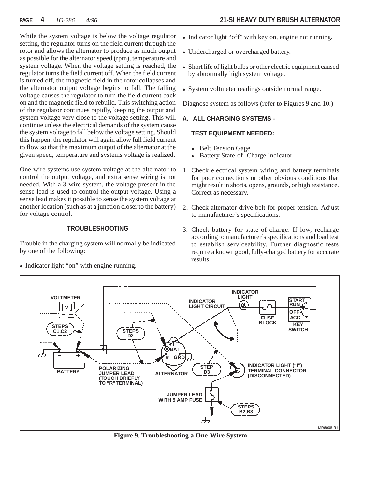While the system voltage is below the voltage regulator setting, the regulator turns on the field current through the rotor and allows the alternator to produce as much output as possible for the alternator speed (rpm), temperature and system voltage. When the voltage setting is reached, the regulator turns the field current off. When the field current is turned off, the magnetic field in the rotor collapses and the alternator output voltage begins to fall. The falling voltage causes the regulator to turn the field current back on and the magnetic field to rebuild. This switching action of the regulator continues rapidly, keeping the output and system voltage very close to the voltage setting. This will continue unless the electrical demands of the system cause the system voltage to fall below the voltage setting. Should this happen, the regulator will again allow full field current to flow so that the maximum output of the alternator at the given speed, temperature and systems voltage is realized.

One-wire systems use system voltage at the alternator to control the output voltage, and extra sense wiring is not needed. With a 3-wire system, the voltage present in the sense lead is used to control the output voltage. Using a sense lead makes it possible to sense the system voltage at another location (such as at a junction closer to the battery) for voltage control.

#### **TROUBLESHOOTING**

Trouble in the charging system will normally be indicated by one of the following:

• Indicator light "on" with engine running.

- Indicator light "off" with key on, engine not running.
- Undercharged or overcharged battery.
- Short life of light bulbs or other electric equipment caused by abnormally high system voltage.
- System voltmeter readings outside normal range.

Diagnose system as follows (refer to Figures 9 and 10.)

#### **A. ALL CHARGING SYSTEMS -**

#### **TEST EQUIPMENT NEEDED:**

- Belt Tension Gage
- Battery State-of -Charge Indicator
- 1. Check electrical system wiring and battery terminals for poor connections or other obvious conditions that might result in shorts, opens, grounds, or high resistance. Correct as necessary.
- 2. Check alternator drive belt for proper tension. Adjust to manufacturer's specifications.
- 3. Check battery for state-of-charge. If low, recharge according to manufacturer's specifications and load test to establish serviceability. Further diagnostic tests require a known good, fully-charged battery for accurate results.



**Figure 9. Troubleshooting a One-Wire System**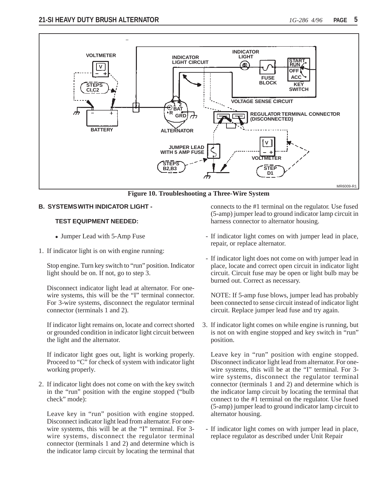

**Figure 10. Troubleshooting a Three-Wire System**

#### **B. SYSTEMS WITH INDICATOR LIGHT -**

#### **TEST EQUIPMENT NEEDED:**

- Jumper Lead with 5-Amp Fuse
- 1. If indicator light is on with engine running:

Stop engine. Turn key switch to "run" position. Indicator light should be on. If not, go to step 3.

Disconnect indicator light lead at alternator. For onewire systems, this will be the "I" terminal connector. For 3-wire systems, disconnect the regulator terminal connector (terminals 1 and 2).

If indicator light remains on, locate and correct shorted or grounded condition in indicator light circuit between the light and the alternator.

If indicator light goes out, light is working properly. Proceed to "C" for check of system with indicator light working properly.

2. If indicator light does not come on with the key switch in the "run" position with the engine stopped ("bulb check" mode):

Leave key in "run" position with engine stopped. Disconnect indicator light lead from alternator. For onewire systems, this will be at the "I" terminal. For 3 wire systems, disconnect the regulator terminal connector (terminals 1 and 2) and determine which is the indicator lamp circuit by locating the terminal that

connects to the #1 terminal on the regulator. Use fused (5-amp) jumper lead to ground indicator lamp circuit in harness connector to alternator housing.

- If indicator light comes on with jumper lead in place, repair, or replace alternator.
- If indicator light does not come on with jumper lead in place, locate and correct open circuit in indicator light circuit. Circuit fuse may be open or light bulb may be burned out. Correct as necessary.

NOTE: If 5-amp fuse blows, jumper lead has probably been connected to sense circuit instead of indicator light circuit. Replace jumper lead fuse and try again.

3. If indicator light comes on while engine is running, but is not on with engine stopped and key switch in "run" position.

Leave key in "run" position with engine stopped. Disconnect indicator light lead from alternator. For onewire systems, this will be at the "I" terminal. For 3 wire systems, disconnect the regulator terminal connector (terminals 1 and 2) and determine which is the indicator lamp circuit by locating the terminal that connect to the #1 terminal on the regulator. Use fused (5-amp) jumper lead to ground indicator lamp circuit to alternator housing.

 - If indicator light comes on with jumper lead in place, replace regulator as described under Unit Repair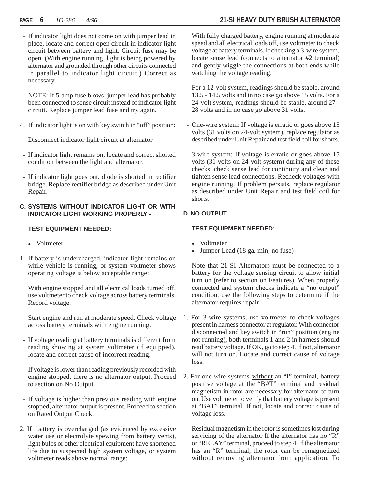- If indicator light does not come on with jumper lead in place, locate and correct open circuit in indicator light circuit between battery and light. Circuit fuse may be open. (With engine running, light is being powered by alternator and grounded through other circuits connected in parallel to indicator light circuit.) Correct as necessary.

NOTE: If 5-amp fuse blows, jumper lead has probably been connected to sense circuit instead of indicator light circuit. Replace jumper lead fuse and try again.

4. If indicator light is on with key switch in "off" position:

Disconnect indicator light circuit at alternator.

- If indicator light remains on, locate and correct shorted condition between the light and alternator.
- If indicator light goes out, diode is shorted in rectifier bridge. Replace rectifier bridge as described under Unit Repair.

#### **C. SYSTEMS WITHOUT INDICATOR LIGHT OR WITH INDICATOR LIGHT WORKING PROPERLY -**

#### **TEST EQUIPMENT NEEDED:**

- **Voltmeter**
- 1. If battery is undercharged, indicator light remains on while vehicle is running, or system voltmeter shows operating voltage is below acceptable range:

With engine stopped and all electrical loads turned off, use voltmeter to check voltage across battery terminals. Record voltage.

Start engine and run at moderate speed. Check voltage across battery terminals with engine running.

- If voltage reading at battery terminals is different from reading showing at system voltmeter (if equipped), locate and correct cause of incorrect reading.
- If voltage is lower than reading previously recorded with engine stopped, there is no alternator output. Proceed to section on No Output.
- If voltage is higher than previous reading with engine stopped, alternator output is present. Proceed to section on Rated Output Check.
- 2. If battery is overcharged (as evidenced by excessive water use or electrolyte spewing from battery vents), light bulbs or other electrical equipment have shortened life due to suspected high system voltage, or system voltmeter reads above normal range:

With fully charged battery, engine running at moderate speed and all electrical loads off, use voltmeter to check voltage at battery terminals. If checking a 3-wire system, locate sense lead (connects to alternator #2 terminal) and gently wiggle the connections at both ends while watching the voltage reading.

For a 12-volt system, readings should be stable, around 13.5 - 14.5 volts and in no case go above 15 volts. For a 24-volt system, readings should be stable, around 27 - 28 volts and in no case go above 31 volts.

- One-wire system: If voltage is erratic or goes above 15 volts (31 volts on 24-volt system), replace regulator as described under Unit Repair and test field coil for shorts.
- 3-wire system: If voltage is erratic or goes above 15 volts (31 volts on 24-volt system) during any of these checks, check sense lead for continuity and clean and tighten sense lead connections. Recheck voltages with engine running. If problem persists, replace regulator as described under Unit Repair and test field coil for shorts.

#### **D. NO OUTPUT**

#### **TEST EQUIPMENT NEEDED:**

- Voltmeter
- Jumper Lead (18 ga. min; no fuse)

Note that 21-SI Alternators must be connected to a battery for the voltage sensing circuit to allow initial turn on (refer to section on Features). When properly connected and system checks indicate a "no output" condition, use the following steps to determine if the alternator requires repair:

- 1. For 3-wire systems, use voltmeter to check voltages present in harness connector at regulator. With connector disconnected and key switch in "run" position (engine not running), both terminals 1 and 2 in harness should read battery voltage. If OK, go to step 4. If not, alternator will not turn on. Locate and correct cause of voltage loss.
- 2. For one-wire systems without an "I" terminal, battery positive voltage at the "BAT" terminal and residual magnetism in rotor are necessary for alternator to turn on. Use voltmeter to verify that battery voltage is present at "BAT" terminal. If not, locate and correct cause of voltage loss.

Residual magnetism in the rotor is sometimes lost during servicing of the alternator If the alternator has no "R" or "RELAY" terminal, proceed to step 4. If the alternator has an "R" terminal, the rotor can be remagnetized without removing alternator from application. To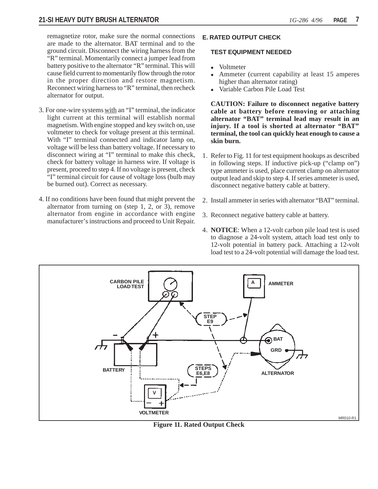remagnetize rotor, make sure the normal connections are made to the alternator. BAT terminal and to the ground circuit. Disconnect the wiring harness from the "R" terminal. Momentarily connect a jumper lead from battery positive to the alternator "R" terminal. This will cause field current to momentarily flow through the rotor in the proper direction and restore magnetism. Reconnect wiring harness to "R" terminal, then recheck alternator for output.

- 3. For one-wire systems with an "I" terminal, the indicator light current at this terminal will establish normal magnetism. With engine stopped and key switch on, use voltmeter to check for voltage present at this terminal. With "I" terminal connected and indicator lamp on, voltage will be less than battery voltage. If necessary to disconnect wiring at "I" terminal to make this check, check for battery voltage in harness wire. If voltage is present, proceed to step 4. If no voltage is present, check "I" terminal circuit for cause of voltage loss (bulb may be burned out). Correct as necessary.
- 4. If no conditions have been found that might prevent the alternator from turning on (step 1, 2, or 3), remove alternator from engine in accordance with engine manufacturer's instructions and proceed to Unit Repair.

#### **E. RATED OUTPUT CHECK**

#### **TEST EQUIPMENT NEEDED**

- **Voltmeter**
- Ammeter (current capability at least 15 amperes higher than alternator rating)
- Variable Carbon Pile Load Test

**CAUTION: Failure to disconnect negative battery cable at battery before removing or attaching alternator "BAT" terminal lead may result in an injury. If a tool is shorted at alternator "BAT" terminal, the tool can quickly heat enough to cause a skin burn.**

- 1. Refer to Fig. 11 for test equipment hookups as described in following steps. If inductive pick-up ("clamp on") type ammeter is used, place current clamp on alternator output lead and skip to step 4. If series ammeter is used, disconnect negative battery cable at battery.
- 2. Install ammeter in series with alternator "BAT" terminal.
- 3. Reconnect negative battery cable at battery.
- 4. **NOTICE**: When a 12-volt carbon pile load test is used to diagnose a 24-volt system, attach load test only to 12-volt potential in battery pack. Attaching a 12-volt load test to a 24-volt potential will damage the load test.



**Figure 11. Rated Output Check**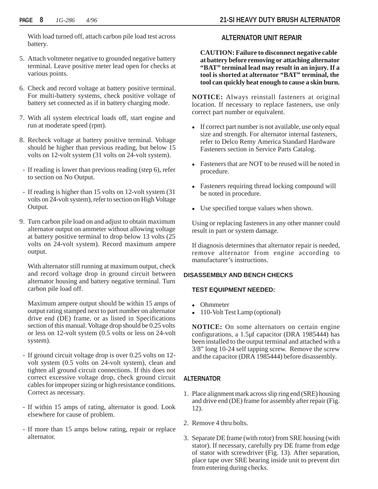With load turned off, attach carbon pile load test across battery.

- 5. Attach voltmeter negative to grounded negative battery terminal. Leave positive meter lead open for checks at various points.
- 6. Check and record voltage at battery positive terminal. For multi-battery systems, check positive voltage of battery set connected as if in battery charging mode.
- 7. With all system electrical loads off, start engine and run at moderate speed (rpm).
- 8. Recheck voltage at battery positive terminal. Voltage should be higher than previous reading, but below 15 volts on 12-volt system (31 volts on 24-volt system).
- If reading is lower than previous reading (step 6), refer to section on No Output.
- If reading is higher than 15 volts on 12-volt system (31 volts on 24-volt system), refer to section on High Voltage Output.
- 9. Turn carbon pile load on and adjust to obtain maximum alternator output on ammeter without allowing voltage at battery positive terminal to drop below 13 volts (25 volts on 24-volt system). Record maximum ampere output.

With alternator still running at maximum output, check and record voltage drop in ground circuit between alternator housing and battery negative terminal. Turn carbon pile load off.

Maximum ampere output should be within 15 amps of output rating stamped next to part number on alternator drive end (DE) frame, or as listed in Specifications section of this manual. Voltage drop should be 0.25 volts or less on 12-volt system (0.5 volts or less on 24-volt system).

- If ground circuit voltage drop is over 0.25 volts on 12 volt system (0.5 volts on 24-volt system), clean and tighten all ground circuit connections. If this does not correct excessive voltage drop, check ground circuit cables for improper sizing or high resistance conditions. Correct as necessary.
- If within 15 amps of rating, alternator is good. Look elsewhere for cause of problem.
- If more than 15 amps below rating, repair or replace alternator.

#### **ALTERNATOR UNIT REPAIR**

**CAUTION: Failure to disconnect negative cable at battery before removing or attaching alternator "BAT" terminal lead may result in an injury. If a tool is shorted at alternator "BAT" terminal, the tool can quickly heat enough to cause a skin burn.**

**NOTICE:** Always reinstall fasteners at original location. If necessary to replace fasteners, use only correct part number or equivalent.

- If correct part number is not available, use only equal size and strength. For alternator internal fasteners, refer to Delco Remy America Standard Hardware Fasteners section in Service Parts Catalog.
- Fasteners that are NOT to be reused will be noted in procedure.
- Fasteners requiring thread locking compound will be noted in procedure.
- Use specified torque values when shown.

Using or replacing fasteners in any other manner could result in part or system damage.

If diagnosis determines that alternator repair is needed, remove alternator from engine according to manufacturer's instructions.

#### **DISASSEMBLY AND BENCH CHECKS**

#### **TEST EQUIPMENT NEEDED:**

- Ohmmeter
- 110-Volt Test Lamp (optional)

**NOTICE:** On some alternators on certain engine configurations, a 1.5µf capacitor (DRA 1985444) has been installed to the output terminal and attached with a 3/8" long 10-24 self tapping screw. Remove the screw and the capacitor (DRA 1985444) before disassembly.

### **ALTERNATOR**

- 1. Place alignment mark across slip ring end (SRE) housing and drive end (DE) frame for assembly after repair (Fig. 12).
- 2. Remove 4 thru bolts.
- 3. Separate DE frame (with rotor) from SRE housing (with stator). If necessary, carefully pry DE frame from edge of stator with screwdriver (Fig. 13). After separation, place tape over SRE bearing inside unit to prevent dirt from entering during checks.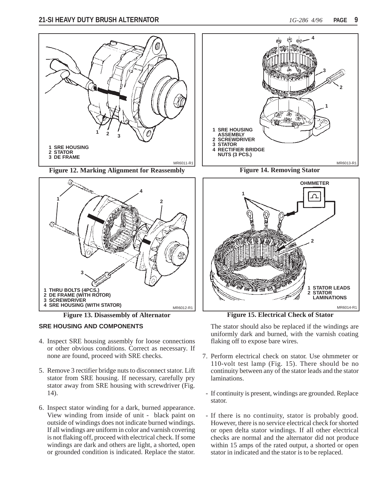





**Figure 13. Disassembly of Alternator**

#### **SRE HOUSING AND COMPONENTS**

- 4. Inspect SRE housing assembly for loose connections or other obvious conditions. Correct as necessary. If none are found, proceed with SRE checks.
- 5. Remove 3 rectifier bridge nuts to disconnect stator. Lift stator from SRE housing. If necessary, carefully pry stator away from SRE housing with screwdriver (Fig. 14).
- 6. Inspect stator winding for a dark, burned appearance. View winding from inside of unit - black paint on outside of windings does not indicate burned windings. If all windings are uniform in color and varnish covering is not flaking off, proceed with electrical check. If some windings are dark and others are light, a shorted, open or grounded condition is indicated. Replace the stator.



**Figure 14. Removing Stator**



**Figure 15. Electrical Check of Stator**

The stator should also be replaced if the windings are uniformly dark and burned, with the varnish coating flaking off to expose bare wires.

- 7. Perform electrical check on stator. Use ohmmeter or 110-volt test lamp (Fig. 15). There should be no continuity between any of the stator leads and the stator laminations.
- If continuity is present, windings are grounded. Replace stator.
- If there is no continuity, stator is probably good. However, there is no service electrical check for shorted or open delta stator windings. If all other electrical checks are normal and the alternator did not produce within 15 amps of the rated output, a shorted or open stator in indicated and the stator is to be replaced.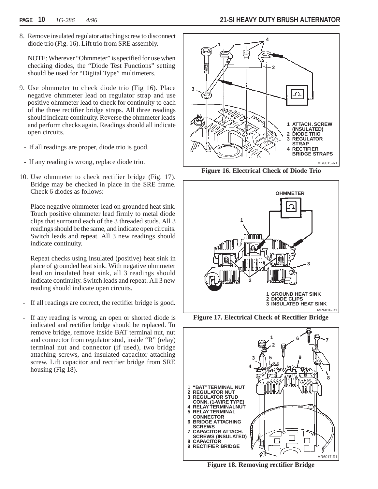8. Remove insulated regulator attaching screw to disconnect diode trio (Fig. 16). Lift trio from SRE assembly.

NOTE: Wherever "Ohmmeter" is specified for use when checking diodes, the "Diode Test Functions" setting should be used for "Digital Type" multimeters.

- 9. Use ohmmeter to check diode trio (Fig 16). Place negative ohmmeter lead on regulator strap and use positive ohmmeter lead to check for continuity to each of the three rectifier bridge straps. All three readings should indicate continuity. Reverse the ohmmeter leads and perform checks again. Readings should all indicate open circuits.
	- If all readings are proper, diode trio is good.
	- If any reading is wrong, replace diode trio.
- 10. Use ohmmeter to check rectifier bridge (Fig. 17). Bridge may be checked in place in the SRE frame. Check 6 diodes as follows:

Place negative ohmmeter lead on grounded heat sink. Touch positive ohmmeter lead firmly to metal diode clips that surround each of the 3 threaded studs. All 3 readings should be the same, and indicate open circuits. Switch leads and repeat. All 3 new readings should indicate continuity.

Repeat checks using insulated (positive) heat sink in place of grounded heat sink. With negative ohmmeter lead on insulated heat sink, all 3 readings should indicate continuity. Switch leads and repeat. All 3 new reading should indicate open circuits.

- If all readings are correct, the rectifier bridge is good.
- If any reading is wrong, an open or shorted diode is indicated and rectifier bridge should be replaced. To remove bridge, remove inside BAT terminal nut, nut and connector from regulator stud, inside "R" (relay) terminal nut and connector (if used), two bridge attaching screws, and insulated capacitor attaching screw. Lift capacitor and rectifier bridge from SRE housing (Fig 18).



**Figure 16. Electrical Check of Diode Trio**



**Figure 17. Electrical Check of Rectifier Bridge**



**Figure 18. Removing rectifier Bridge**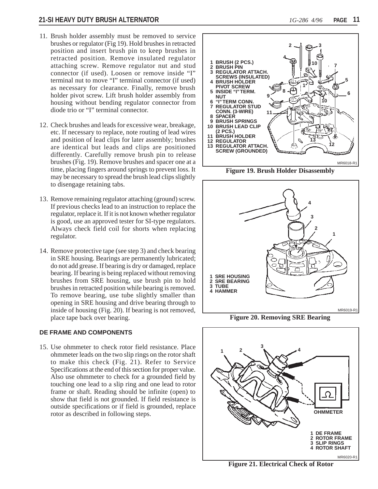#### **21-SI HEAVY DUTY BRUSH ALTERNATOR** *1G-286 4/96* **PAGE**

- 11. Brush holder assembly must be removed to service brushes or regulator (Fig 19). Hold brushes in retracted position and insert brush pin to keep brushes in retracted position. Remove insulated regulator attaching screw. Remove regulator nut and stud connector (if used). Loosen or remove inside "I" terminal nut to move "I" terminal connector (if used) as necessary for clearance. Finally, remove brush holder pivot screw. Lift brush holder assembly from housing without bending regulator connector from diode trio or "I" terminal connector.
- 12. Check brushes and leads for excessive wear, breakage, etc. If necessary to replace, note routing of lead wires and position of lead clips for later assembly; brushes are identical but leads and clips are positioned differently. Carefully remove brush pin to release brushes (Fig. 19). Remove brushes and spacer one at a time, placing fingers around springs to prevent loss. It may be necessary to spread the brush lead clips slightly to disengage retaining tabs.
- 13. Remove remaining regulator attaching (ground) screw. If previous checks lead to an instruction to replace the regulator, replace it. If it is not known whether regulator is good, use an approved tester for SI-type regulators. Always check field coil for shorts when replacing regulator.
- 14. Remove protective tape (see step 3) and check bearing in SRE housing. Bearings are permanently lubricated; do not add grease. If bearing is dry or damaged, replace bearing. If bearing is being replaced without removing brushes from SRE housing, use brush pin to hold brushes in retracted position while bearing is removed. To remove bearing, use tube slightly smaller than opening in SRE housing and drive bearing through to inside of housing (Fig. 20). If bearing is not removed, place tape back over bearing.

#### **DE FRAME AND COMPONENTS**

15. Use ohmmeter to check rotor field resistance. Place ohmmeter leads on the two slip rings on the rotor shaft to make this check (Fig. 21). Refer to Service Specifications at the end of this section for proper value. Also use ohmmeter to check for a grounded field by touching one lead to a slip ring and one lead to rotor frame or shaft. Reading should be infinite (open) to show that field is not grounded. If field resistance is outside specifications or if field is grounded, replace rotor as described in following steps.



**Figure 19. Brush Holder Disassembly**



**Figure 20. Removing SRE Bearing**



**Figure 21. Electrical Check of Rotor**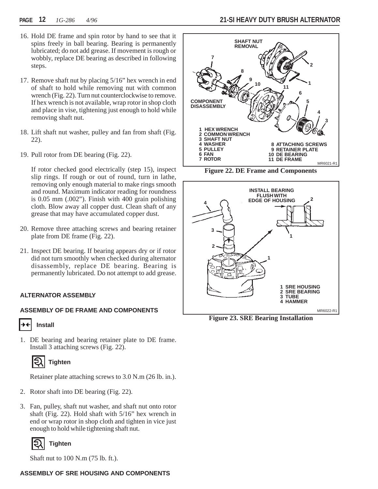- 16. Hold DE frame and spin rotor by hand to see that it spins freely in ball bearing. Bearing is permanently lubricated; do not add grease. If movement is rough or wobbly, replace DE bearing as described in following steps.
- 17. Remove shaft nut by placing 5/16" hex wrench in end of shaft to hold while removing nut with common wrench (Fig. 22). Turn nut counterclockwise to remove. If hex wrench is not available, wrap rotor in shop cloth and place in vise, tightening just enough to hold while removing shaft nut.
- 18. Lift shaft nut washer, pulley and fan from shaft (Fig. 22).
- 19. Pull rotor from DE bearing (Fig. 22).

If rotor checked good electrically (step 15), inspect slip rings. If rough or out of round, turn in lathe, removing only enough material to make rings smooth and round. Maximum indicator reading for roundness is 0.05 mm (.002"). Finish with 400 grain polishing cloth. Blow away all copper dust. Clean shaft of any grease that may have accumulated copper dust.

- 20. Remove three attaching screws and bearing retainer plate from DE frame (Fig. 22).
- 21. Inspect DE bearing. If bearing appears dry or if rotor did not turn smoothly when checked during alternator disassembly, replace DE bearing. Bearing is permanently lubricated. Do not attempt to add grease.

### **ALTERNATOR ASSEMBLY**

#### **ASSEMBLY OF DE FRAME AND COMPONENTS**

# **Install**

1. DE bearing and bearing retainer plate to DE frame. Install 3 attaching screws (Fig. 22).



Retainer plate attaching screws to 3.0 N.m (26 lb. in.).

- 2. Rotor shaft into DE bearing (Fig. 22).
- 3. Fan, pulley, shaft nut washer, and shaft nut onto rotor shaft (Fig. 22). Hold shaft with 5/16" hex wrench in end or wrap rotor in shop cloth and tighten in vice just enough to hold while tightening shaft nut.



Shaft nut to 100 N.m (75 lb. ft.).

### **ASSEMBLY OF SRE HOUSING AND COMPONENTS**



**Figure 22. DE Frame and Components**



**Figure 23. SRE Bearing Installation**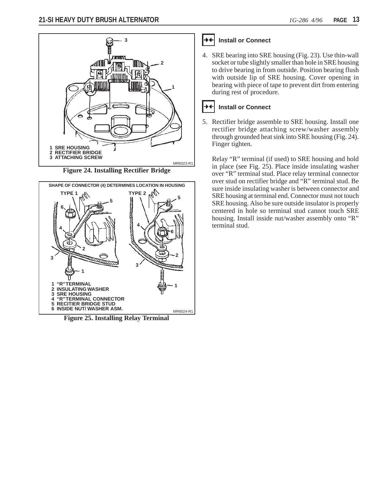

**Figure 24. Installing Rectifier Bridge**



**Figure 25. Installing Relay Terminal**

## $\rightarrow$  **+ | Install or Connect**

4. SRE bearing into SRE housing (Fig. 23). Use thin-wall socket or tube slightly smaller than hole in SRE housing to drive bearing in from outside. Position bearing flush with outside lip of SRE housing. Cover opening in bearing with piece of tape to prevent dirt from entering during rest of procedure.

## $\rightarrow$  **+ | Install or Connect**

5. Rectifier bridge assemble to SRE housing. Install one rectifier bridge attaching screw/washer assembly through grounded heat sink into SRE housing (Fig. 24). Finger tighten.

Relay "R" terminal (if used) to SRE housing and hold in place (see Fig. 25). Place inside insulating washer over "R" terminal stud. Place relay terminal connector over stud on rectifier bridge and "R" terminal stud. Be sure inside insulating washer is between connector and SRE housing at terminal end. Connector must not touch SRE housing. Also be sure outside insulator is properly centered in hole so terminal stud cannot touch SRE housing. Install inside nut/washer assembly onto "R" terminal stud.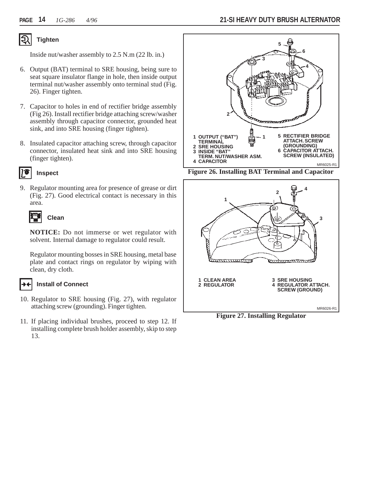#### E) **Tighten**

Inside nut/washer assembly to 2.5 N.m (22 lb. in.)

- 6. Output (BAT) terminal to SRE housing, being sure to seat square insulator flange in hole, then inside output terminal nut/washer assembly onto terminal stud (Fig. 26). Finger tighten.
- 7. Capacitor to holes in end of rectifier bridge assembly (Fig 26). Install rectifier bridge attaching screw/washer assembly through capacitor connector, grounded heat sink, and into SRE housing (finger tighten).
- 8. Insulated capacitor attaching screw, through capacitor connector, insulated heat sink and into SRE housing (finger tighten).



### **Inspect**

9. Regulator mounting area for presence of grease or dirt (Fig. 27). Good electrical contact is necessary in this area.



**NOTICE:** Do not immerse or wet regulator with solvent. Internal damage to regulator could result.

Regulator mounting bosses in SRE housing, metal base plate and contact rings on regulator by wiping with clean, dry cloth.

### **Install of Connect**

- 10. Regulator to SRE housing (Fig. 27), with regulator attaching screw (grounding). Finger tighten.
- 11. If placing individual brushes, proceed to step 12. If installing complete brush holder assembly, skip to step 13.



**Figure 26. Installing BAT Terminal and Capacitor**



**Figure 27. Installing Regulator**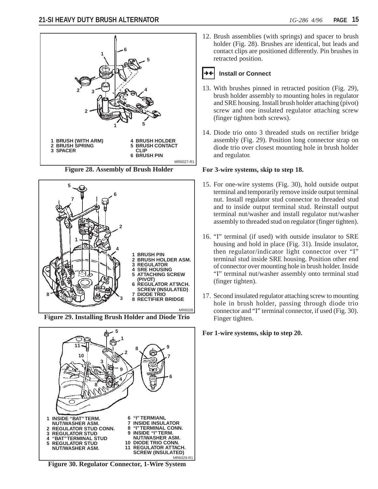

**Figure 28. Assembly of Brush Holder**



**Figure 29. Installing Brush Holder and Diode Trio**



**Figure 30. Regulator Connector, 1-Wire System**

12. Brush assemblies (with springs) and spacer to brush holder (Fig. 28). Brushes are identical, but leads and contact clips are positioned differently. Pin brushes in retracted position.

#### |→+ **Install or Connect**

- 13. With brushes pinned in retracted position (Fig. 29), brush holder assembly to mounting holes in regulator and SRE housing. Install brush holder attaching (pivot) screw and one insulated regulator attaching screw (finger tighten both screws).
- 14. Diode trio onto 3 threaded studs on rectifier bridge assembly (Fig. 29). Position long connector strap on diode trio over closest mounting hole in brush holder and regulator.

#### **For 3-wire systems, skip to step 18.**

- 15. For one-wire systems (Fig. 30), hold outside output terminal and temporarily remove inside output terminal nut. Install regulator stud connector to threaded stud and to inside output terminal stud. Reinstall output terminal nut/washer and install regulator nut/washer assembly to threaded stud on regulator (finger tighten).
- 16. "I" terminal (if used) with outside insulator to SRE housing and hold in place (Fig. 31). Inside insulator, then regulator/indicator light connector over "I" terminal stud inside SRE housing. Position other end of connector over mounting hole in brush holder. Inside "I" terminal nut/washer assembly onto terminal stud (finger tighten).
- 17. Second insulated regulator attaching screw to mounting hole in brush holder, passing through diode trio connector and "I" terminal connector, if used (Fig. 30). Finger tighten.

**For 1-wire systems, skip to step 20.**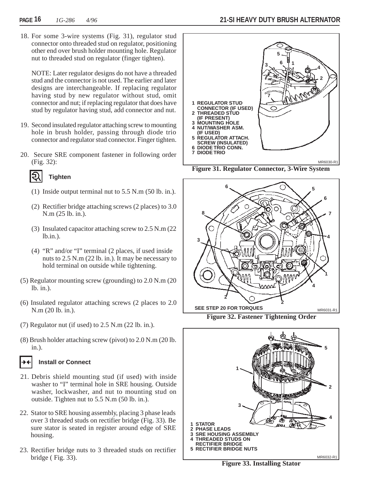18. For some 3-wire systems (Fig. 31), regulator stud connector onto threaded stud on regulator, positioning other end over brush holder mounting hole. Regulator nut to threaded stud on regulator (finger tighten).

NOTE: Later regulator designs do not have a threaded stud and the connector is not used. The earlier and later designs are interchangeable. If replacing regulator having stud by new regulator without stud, omit connector and nut; if replacing regulator that does have stud by regulator having stud, add connector and nut.

- 19. Second insulated regulator attaching screw to mounting hole in brush holder, passing through diode trio connector and regulator stud connector. Finger tighten.
- 20. Secure SRE component fastener in following order (Fig. 32):



## **Tighten**

- (1) Inside output terminal nut to 5.5 N.m (50 lb. in.).
- (2) Rectifier bridge attaching screws (2 places) to 3.0 N.m (25 lb. in.).
- (3) Insulated capacitor attaching screw to 2.5 N.m (22 lb.in.).
- (4) "R" and/or "I" terminal (2 places, if used inside nuts to 2.5 N.m (22 lb. in.). It may be necessary to hold terminal on outside while tightening.
- (5) Regulator mounting screw (grounding) to 2.0 N.m (20 lb. in.).
- (6) Insulated regulator attaching screws (2 places to 2.0 N.m (20 lb. in.).
- (7) Regulator nut (if used) to 2.5 N.m (22 lb. in.).
- (8) Brush holder attaching screw (pivot) to 2.0 N.m (20 lb. in.).
- **Install or Connect**
- 21. Debris shield mounting stud (if used) with inside washer to "I" terminal hole in SRE housing. Outside washer, lockwasher, and nut to mounting stud on outside. Tighten nut to 5.5 N.m (50 lb. in.).
- 22. Stator to SRE housing assembly, placing 3 phase leads over 3 threaded studs on rectifier bridge (Fig. 33). Be sure stator is seated in register around edge of SRE housing.
- 23. Rectifier bridge nuts to 3 threaded studs on rectifier bridge ( Fig. 33).



**Figure 31. Regulator Connector, 3-Wire System**



**Figure 32. Fastener Tightening Order**



**Figure 33. Installing Stator**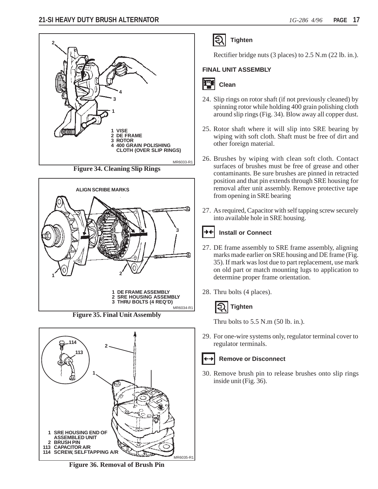

**Figure 34. Cleaning Slip Rings**



**Figure 35. Final Unit Assembly**



**Figure 36. Removal of Brush Pin**



Rectifier bridge nuts (3 places) to 2.5 N.m (22 lb. in.).

### **FINAL UNIT ASSEMBLY**

# **Clean**

- 24. Slip rings on rotor shaft (if not previously cleaned) by spinning rotor while holding 400 grain polishing cloth around slip rings (Fig. 34). Blow away all copper dust.
- 25. Rotor shaft where it will slip into SRE bearing by wiping with soft cloth. Shaft must be free of dirt and other foreign material.
- 26. Brushes by wiping with clean soft cloth. Contact surfaces of brushes must be free of grease and other contaminants. Be sure brushes are pinned in retracted position and that pin extends through SRE housing for removal after unit assembly. Remove protective tape from opening in SRE bearing
- 27. As required, Capacitor with self tapping screw securely into available hole in SRE housing.



### **Install or Connect**

- 27. DE frame assembly to SRE frame assembly, aligning marks made earlier on SRE housing and DE frame (Fig. 35). If mark was lost due to part replacement, use mark on old part or match mounting lugs to application to determine proper frame orientation.
- 28. Thru bolts (4 places).



Thru bolts to 5.5 N.m (50 lb. in.).

29. For one-wire systems only, regulator terminal cover to regulator terminals.



### **Remove or Disconnect**

30. Remove brush pin to release brushes onto slip rings inside unit (Fig. 36).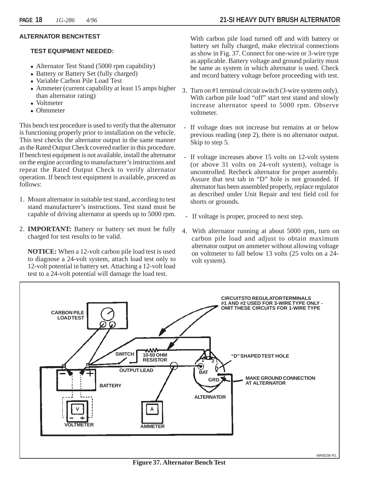#### **ALTERNATOR BENCH TEST**

#### **TEST EQUIPMENT NEEDED:**

- Alternator Test Stand (5000 rpm capability)
- Battery or Battery Set (fully charged)
- Variable Carbon Pile Load Test
- Ammeter (current capability at least  $15$  amps higher than alternator rating)
- Voltmeter
- Ohmmeter

This bench test procedure is used to verify that the alternator is functioning properly prior to installation on the vehicle. This test checks the alternator output in the same manner as the Rated Output Check covered earlier in this procedure. If bench test equipment is not available, install the alternator on the engine according to manufacturer's instructions and repeat the Rated Output Check to verify alternator operation. If bench test equipment is available, proceed as follows:

- 1. Mount alternator in suitable test stand, according to test stand manufacturer's instructions. Test stand must be capable of driving alternator at speeds up to 5000 rpm.
- 2. **IMPORTANT:** Battery or battery set must be fully charged for test results to be valid.

**NOTICE:** When a 12-volt carbon pile load test is used to diagnose a 24-volt system, attach load test only to 12-volt potential in battery set. Attaching a 12-volt load test to a 24-volt potential will damage the load test.

With carbon pile load turned off and with battery or battery set fully charged, make electrical connections as show in Fig. 37. Connect for one-wire or 3-wire type as applicable. Battery voltage and ground polarity must be same as system in which alternator is used. Check and record battery voltage before proceeding with test.

- 3. Turn on #1 terminal circuit switch (3-wire systems only). With carbon pile load "off" start test stand and slowly increase alternator speed to 5000 rpm. Observe voltmeter.
- If voltage does not increase but remains at or below previous reading (step 2), there is no alternator output. Skip to step 5.
- If voltage increases above 15 volts on 12-volt system (or above 31 volts on 24-volt system), voltage is uncontrolled. Recheck alternator for proper assembly. Assure that test tab in "D" hole is not grounded. If alternator has been assembled properly, replace regulator as described under Unit Repair and test field coil for shorts or grounds.
- If voltage is proper, proceed to next step.
- 4. With alternator running at about 5000 rpm, turn on carbon pile load and adjust to obtain maximum alternator output on ammeter without allowing voltage on voltmeter to fall below 13 volts (25 volts on a 24 volt system).

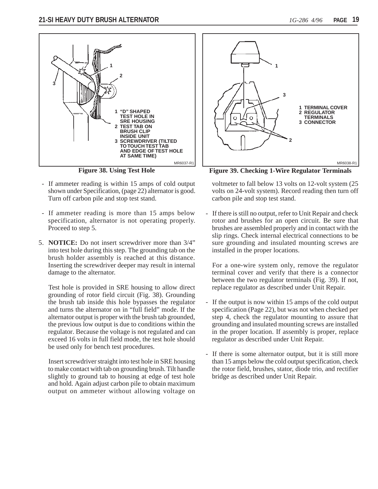

**Figure 38. Using Test Hole**

- If ammeter reading is within 15 amps of cold output shown under Specification, (page 22) alternator is good. Turn off carbon pile and stop test stand.
- If ammeter reading is more than 15 amps below specification, alternator is not operating properly. Proceed to step 5.
- 5. **NOTICE:** Do not insert screwdriver more than 3/4" into test hole during this step. The grounding tab on the brush holder assembly is reached at this distance. Inserting the screwdriver deeper may result in internal damage to the alternator.

Test hole is provided in SRE housing to allow direct grounding of rotor field circuit (Fig. 38). Grounding the brush tab inside this hole bypasses the regulator and turns the alternator on in "full field" mode. If the alternator output is proper with the brush tab grounded, the previous low output is due to conditions within the regulator. Because the voltage is not regulated and can exceed 16 volts in full field mode, the test hole should be used only for bench test procedures.

Insert screwdriver straight into test hole in SRE housing to make contact with tab on grounding brush. Tilt handle slightly to ground tab to housing at edge of test hole and hold. Again adjust carbon pile to obtain maximum output on ammeter without allowing voltage on



**Figure 39. Checking 1-Wire Regulator Terminals**

voltmeter to fall below 13 volts on 12-volt system (25 volts on 24-volt system). Record reading then turn off carbon pile and stop test stand.

 - If there is still no output, refer to Unit Repair and check rotor and brushes for an open circuit. Be sure that brushes are assembled properly and in contact with the slip rings. Check internal electrical connections to be sure grounding and insulated mounting screws are installed in the proper locations.

For a one-wire system only, remove the regulator terminal cover and verify that there is a connector between the two regulator terminals (Fig. 39). If not, replace regulator as described under Unit Repair.

- If the output is now within 15 amps of the cold output specification (Page 22), but was not when checked per step 4, check the regulator mounting to assure that grounding and insulated mounting screws are installed in the proper location. If assembly is proper, replace regulator as described under Unit Repair.
- If there is some alternator output, but it is still more than 15 amps below the cold output specification, check the rotor field, brushes, stator, diode trio, and rectifier bridge as described under Unit Repair.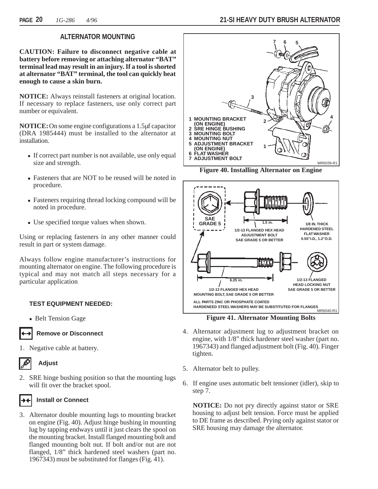### **ALTERNATOR MOUNTING**

**CAUTION: Failure to disconnect negative cable at battery before removing or attaching alternator "BAT" terminal lead may result in an injury. If a tool is shorted at alternator "BAT" terminal, the tool can quickly heat enough to cause a skin burn.**

**NOTICE:** Always reinstall fasteners at original location. If necessary to replace fasteners, use only correct part number or equivalent.

**NOTICE:** On some engine configurations a 1.5µf capacitor (DRA 1985444) must be installed to the alternator at installation.

- If correct part number is not available, use only equal size and strength.
- Fasteners that are NOT to be reused will be noted in procedure.
- Fasteners requiring thread locking compound will be noted in procedure.
- Use specified torque values when shown.

Using or replacing fasteners in any other manner could result in part or system damage.

Always follow engine manufacturer's instructions for mounting alternator on engine. The following procedure is typical and may not match all steps necessary for a particular application

### **TEST EQUIPMENT NEEDED:**

• Belt Tension Gage

### **Remove or Disconnect**

1. Negative cable at battery.



2. SRE hinge bushing position so that the mounting lugs will fit over the bracket spool.

### **Install or Connect**

3. Alternator double mounting lugs to mounting bracket on engine (Fig. 40). Adjust hinge bushing in mounting lug by tapping endways until it just clears the spool on the mounting bracket. Install flanged mounting bolt and flanged mounting bolt nut. If bolt and/or nut are not flanged, 1/8" thick hardened steel washers (part no. 1967343) must be substituted for flanges (Fig. 41).



**Figure 40. Installing Alternator on Engine**



**Figure 41. Alternator Mounting Bolts**

- 4. Alternator adjustment lug to adjustment bracket on engine, with 1/8" thick hardener steel washer (part no. 1967343) and flanged adjustment bolt (Fig. 40). Finger tighten.
- 5. Alternator belt to pulley.
- 6. If engine uses automatic belt tensioner (idler), skip to step 7.

**NOTICE:** Do not pry directly against stator or SRE housing to adjust belt tension. Force must be applied to DE frame as described. Prying only against stator or SRE housing may damage the alternator.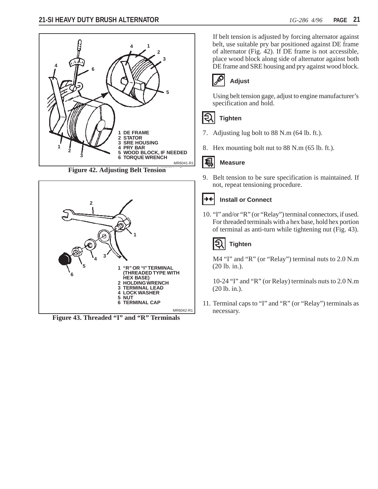

**Figure 42. Adjusting Belt Tension**



**Figure 43. Threaded "I" and "R" Terminals**

If belt tension is adjusted by forcing alternator against belt, use suitable pry bar positioned against DE frame of alternator (Fig. 42). If DE frame is not accessible, place wood block along side of alternator against both DE frame and SRE housing and pry against wood block.

# **Adjust**

Using belt tension gage, adjust to engine manufacturer's specification and hold.

#### 尽  **Tighten**

- 7. Adjusting lug bolt to 88 N.m (64 lb. ft.).
- 8. Hex mounting bolt nut to 88 N.m (65 lb. ft.).

#### 回  **Measure**

9. Belt tension to be sure specification is maintained. If not, repeat tensioning procedure.



## **Install or Connect**

10. "I" and/or "R" (or "Relay") terminal connectors, if used. For threaded terminals with a hex base, hold hex portion of terminal as anti-turn while tightening nut (Fig. 43).



M4 "I" and "R" (or "Relay") terminal nuts to 2.0 N.m (20 lb. in.).

10-24 "I" and "R" (or Relay) terminals nuts to 2.0 N.m (20 lb. in.).

11. Terminal caps to "I" and "R" (or "Relay") terminals as necessary.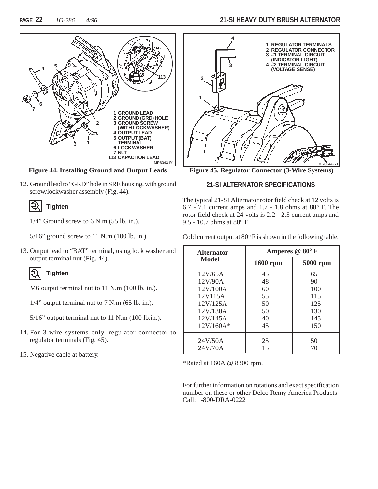

**Figure 44. Installing Ground and Output Leads**

12. Ground lead to "GRD" hole in SRE housing, with ground screw/lockwasher assembly (Fig. 44).

#### 日  **Tighten**

 $1/4$ " Ground screw to 6 N.m (55 lb. in.).

5/16" ground screw to 11 N.m (100 lb. in.).

13. Output lead to "BAT" terminal, using lock washer and output terminal nut (Fig. 44).

#### IЭ  **Tighten**

M6 output terminal nut to 11 N.m (100 lb. in.).

 $1/4$ " output terminal nut to 7 N.m (65 lb. in.).

5/16" output terminal nut to 11 N.m (100 lb.in.).

14. For 3-wire systems only, regulator connector to regulator terminals (Fig. 45).

15. Negative cable at battery.



**Figure 45. Regulator Connector (3-Wire Systems)**

### **21-SI ALTERNATOR SPECIFICATIONS**

The typical 21-SI Alternator rotor field check at 12 volts is  $6.7 - 7.1$  current amps and  $1.7 - 1.8$  ohms at  $80^{\circ}$  F. The rotor field check at 24 volts is 2.2 - 2.5 current amps and 9.5 - 10.7 ohms at 80° F.

Cold current output at  $80^{\circ}$  F is shown in the following table.

| <b>Alternator</b> |            | Amperes @ 80°F |  |
|-------------------|------------|----------------|--|
| Model             | $1600$ rpm | 5000 rpm       |  |
| 12V/65A           | 45         | 65             |  |
| 12V/90A           | 48         | 90             |  |
| 12V/100A          | 60         | 100            |  |
| 12V115A           | 55         | 115            |  |
| 12V/125A          | 50         | 125            |  |
| 12V/130A          | 50         | 130            |  |
| 12V/145A          | 40         | 145            |  |
| 12V/160A*         | 45         | 150            |  |
| 24V/50A           | 25         | 50             |  |
| 24V/70A           | 15         | 70             |  |

\*Rated at 160A @ 8300 rpm.

For further information on rotations and exact specification number on these or other Delco Remy America Products Call: 1-800-DRA-0222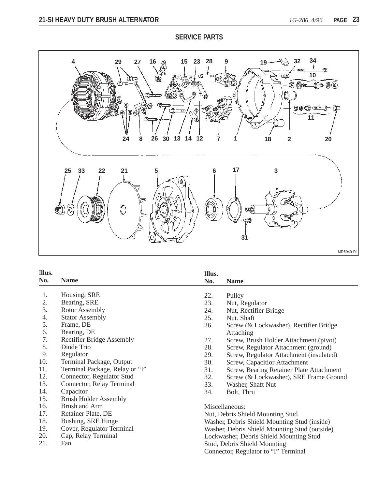## **SERVICE PARTS**



| Illus. |                                  | Illus.                                        |                                          |  |  |
|--------|----------------------------------|-----------------------------------------------|------------------------------------------|--|--|
| No.    | <b>Name</b>                      | No.                                           | <b>Name</b>                              |  |  |
|        |                                  |                                               |                                          |  |  |
| 1.     | Housing, SRE                     | 22.                                           | Pulley                                   |  |  |
| 2.     | Bearing, SRE                     | 23.                                           | Nut, Regulator                           |  |  |
| 3.     | <b>Rotor Assembly</b>            | 24.                                           | Nut, Rectifier Bridge                    |  |  |
| 4.     | <b>Stator Assembly</b>           | 25.                                           | Nut. Shaft                               |  |  |
| 5.     | Frame, DE                        | 26.                                           | Screw (& Lockwasher), Rectifier Bridge   |  |  |
| 6.     | Bearing, DE                      |                                               | Attaching                                |  |  |
| 7.     | <b>Rectifier Bridge Assembly</b> | 27.                                           | Screw, Brush Holder Attachment (pivot)   |  |  |
| 8.     | Diode Trio                       | 28.                                           | Screw, Regulator Attachment (ground)     |  |  |
| 9.     | Regulator                        | 29.                                           | Screw, Regulator Attachment (insulated)  |  |  |
| 10.    | Terminal Package, Output         | 30.                                           | Screw, Capacitior Attachment             |  |  |
| 11.    | Terminal Package, Relay or "I"   | 31.                                           | Screw, Bearing Retainer Plate Attachment |  |  |
| 12.    | Connector, Regulator Stud        | 32.                                           | Screw (& Lockwasher), SRE Frame Ground   |  |  |
| 13.    | Connector, Relay Terminal        | 33.                                           | Washer, Shaft Nut                        |  |  |
| 14.    | Capacitor                        | 34.                                           | Bolt, Thru                               |  |  |
| 15.    | <b>Brush Holder Assembly</b>     |                                               |                                          |  |  |
| 16.    | Brush and Arm                    |                                               | Miscellaneous:                           |  |  |
| 17.    | Retainer Plate, DE               | Nut, Debris Shield Mounting Stud              |                                          |  |  |
| 18.    | Bushing, SRE Hinge               | Washer, Debris Shield Mounting Stud (inside)  |                                          |  |  |
| 19.    | Cover, Regulator Terminal        | Washer, Debris Shield Mounting Stud (outside) |                                          |  |  |
| 20.    | Cap, Relay Terminal              | Lockwasher, Debris Shield Mounting Stud       |                                          |  |  |
| 21.    | Fan                              | Stud, Debris Shield Mounting                  |                                          |  |  |

Connector, Regulator to "I" Terminal